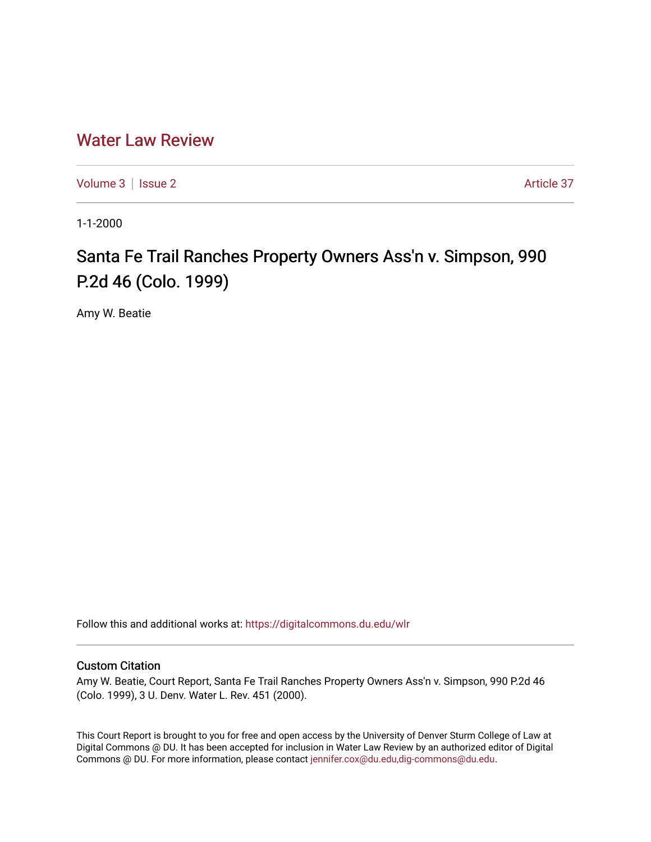## [Water Law Review](https://digitalcommons.du.edu/wlr)

[Volume 3](https://digitalcommons.du.edu/wlr/vol3) | [Issue 2](https://digitalcommons.du.edu/wlr/vol3/iss2) Article 37

1-1-2000

## Santa Fe Trail Ranches Property Owners Ass'n v. Simpson, 990 P.2d 46 (Colo. 1999)

Amy W. Beatie

Follow this and additional works at: [https://digitalcommons.du.edu/wlr](https://digitalcommons.du.edu/wlr?utm_source=digitalcommons.du.edu%2Fwlr%2Fvol3%2Fiss2%2F37&utm_medium=PDF&utm_campaign=PDFCoverPages) 

## Custom Citation

Amy W. Beatie, Court Report, Santa Fe Trail Ranches Property Owners Ass'n v. Simpson, 990 P.2d 46 (Colo. 1999), 3 U. Denv. Water L. Rev. 451 (2000).

This Court Report is brought to you for free and open access by the University of Denver Sturm College of Law at Digital Commons @ DU. It has been accepted for inclusion in Water Law Review by an authorized editor of Digital Commons @ DU. For more information, please contact [jennifer.cox@du.edu,dig-commons@du.edu.](mailto:jennifer.cox@du.edu,dig-commons@du.edu)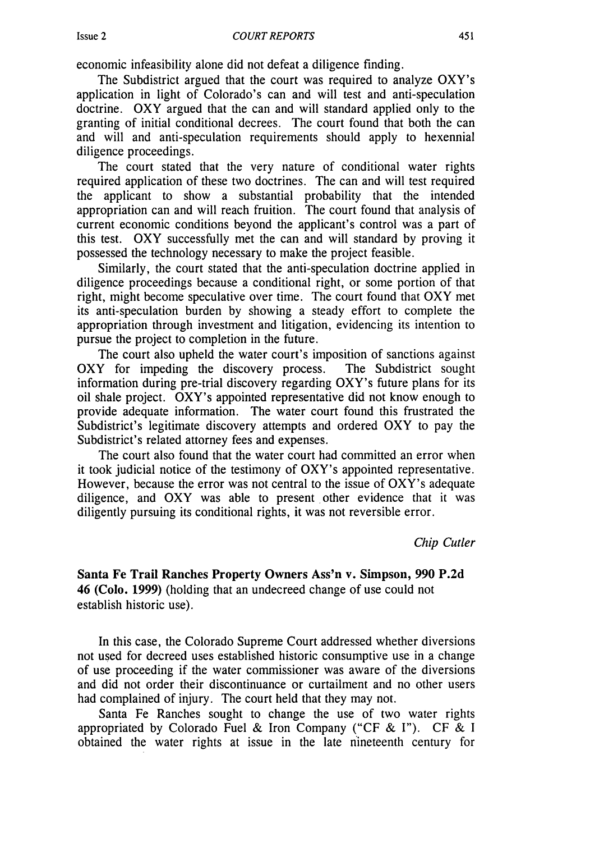Issue 2

economic infeasibility alone did not defeat a diligence finding.

The Subdistrict argued that the court was required to analyze OXY's application in light of Colorado's can and will test and anti-speculation doctrine. OXY argued that the can and will standard applied only to the granting of initial conditional decrees. The court found that both the can and will and anti-speculation requirements should apply to hexennial diligence proceedings.

The court stated that the very nature of conditional water rights required application of these two doctrines. The can and will test required the applicant to show a substantial probability that the intended appropriation can and will reach fruition. The court found that analysis of current economic conditions beyond the applicant's control was a part of this test. OXY successfully met the can and will standard by proving it possessed the technology necessary to make the project feasible.

Similarly, the court stated that the anti-speculation doctrine applied in diligence proceedings because a conditional right, or some portion of that right, might become speculative over time. The court found that OXY met its anti-speculation burden by showing a steady effort to complete the appropriation through investment and litigation, evidencing its intention to pursue the project to completion in the future.

The court also upheld the water court's imposition of sanctions against OXY for impeding the discovery process. The Subdistrict sought information during pre-trial discovery regarding OXY's future plans for its oil shale project. OXY's appointed representative did not know enough to provide adequate information. The water court found this frustrated the Subdistrict's legitimate discovery attempts and ordered OXY to pay the Subdistrict's related attorney fees and expenses.

The court also found that the water court had committed an error when it took judicial notice of the testimony of OXY's appointed representative. However, because the error was not central to the issue of OXY's adequate diligence, and OXY was able to present other evidence that it was diligently pursuing its conditional rights, it was not reversible error.

*Chip Cutler*

**Santa Fe Trail Ranches Property Owners Ass'n v. Simpson, 990 P.2d 46 (Colo. 1999) (holding** that **an undecreed change of** use could not establish historic use).

In this case, the Colorado Supreme Court addressed whether diversions not used for decreed uses established historic consumptive use in a change of use proceeding if the water commissioner was aware of the diversions and did not order their discontinuance or curtailment and no other users had complained of injury. The court held that they may not.

Santa Fe Ranches sought to change the use of two water rights appropriated by Colorado Fuel & Iron Company ("CF & I"). CF & I obtained the water rights at issue in the late nineteenth century for